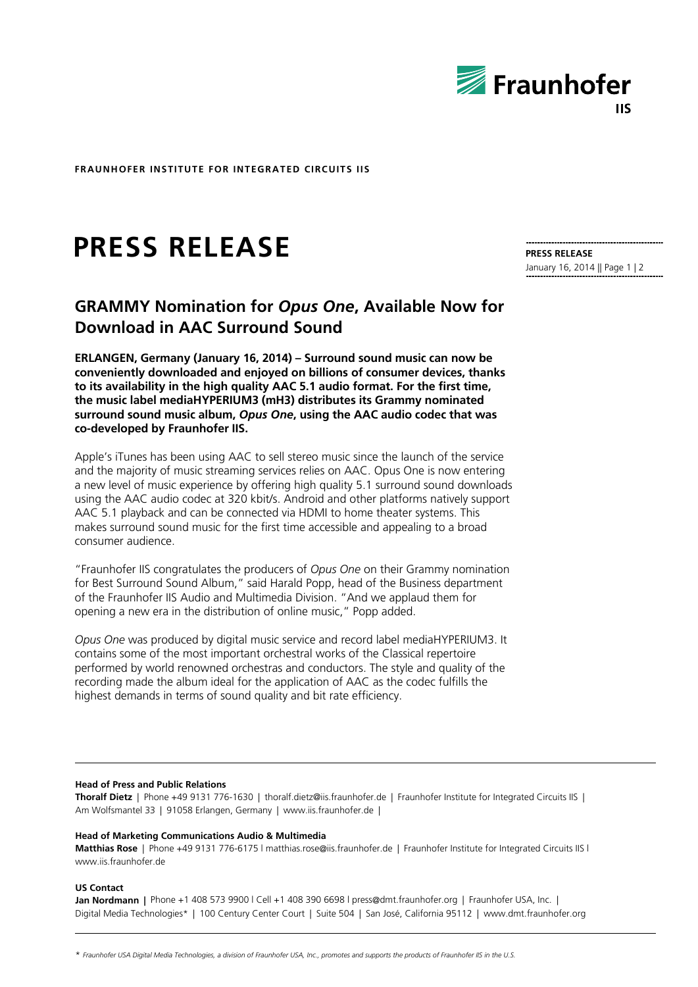

**FRAUNHOFER INSTITUTE FOR INTEGRATED CIRCUITS IIS**

# **PRESS RELEASE**

## **PRESS RELEASE**

January 16, 2014 || Page 1 | 2

## **GRAMMY Nomination for** *Opus One***, Available Now for Download in AAC Surround Sound**

**ERLANGEN, Germany (January 16, 2014) – Surround sound music can now be conveniently downloaded and enjoyed on billions of consumer devices, thanks to its availability in the high quality AAC 5.1 audio format. For the first time, the music label mediaHYPERIUM3 (mH3) distributes its Grammy nominated surround sound music album,** *Opus One***, using the AAC audio codec that was co-developed by Fraunhofer IIS.**

Apple's iTunes has been using AAC to sell stereo music since the launch of the service and the majority of music streaming services relies on AAC. Opus One is now entering a new level of music experience by offering high quality 5.1 surround sound downloads using the AAC audio codec at 320 kbit/s. Android and other platforms natively support AAC 5.1 playback and can be connected via HDMI to home theater systems. This makes surround sound music for the first time accessible and appealing to a broad consumer audience.

"Fraunhofer IIS congratulates the producers of *Opus One* on their Grammy nomination for Best Surround Sound Album," said Harald Popp, head of the Business department of the Fraunhofer IIS Audio and Multimedia Division. "And we applaud them for opening a new era in the distribution of online music," Popp added.

*Opus One* was produced by digital music service and record label mediaHYPERIUM3. It contains some of the most important orchestral works of the Classical repertoire performed by world renowned orchestras and conductors. The style and quality of the recording made the album ideal for the application of AAC as the codec fulfills the highest demands in terms of sound quality and bit rate efficiency.

#### **Head of Press and Public Relations**

**Thoralf Dietz** | Phone +49 9131 776-1630 | thoralf.dietz@iis.fraunhofer.de | Fraunhofer Institute for Integrated Circuits IIS | Am Wolfsmantel 33 | 91058 Erlangen, Germany | www.iis.fraunhofer.de |

#### **Head of Marketing Communications Audio & Multimedia**

**Matthias Rose** | Phone +49 9131 776-6175 l matthias.rose@iis.fraunhofer.de | Fraunhofer Institute for Integrated Circuits IIS l www.iis.fraunhofer.de

#### **US Contact**

**Jan Nordmann |** Phone +1 408 573 9900 l Cell +1 408 390 6698 l press@dmt.fraunhofer.org | Fraunhofer USA, Inc. | Digital Media Technologies\* | 100 Century Center Court | Suite 504 | San José, California 95112 | www.dmt.fraunhofer.org

\* *Fraunhofer USA Digital Media Technologies, a division of Fraunhofer USA, Inc., promotes and supports the products of Fraunhofer IIS in the U.S.*